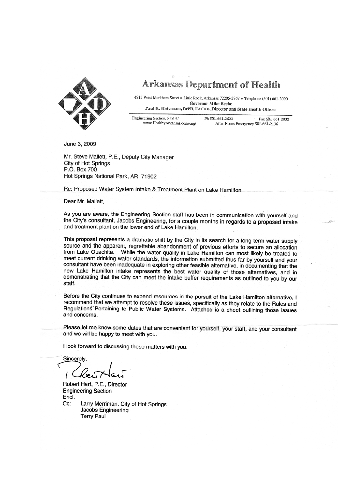

**Arkansas Department of Health** 

4815 West Markham Street . Little Rock, Arkansas 72205-3867 . Telephone (501) 661-2000 **Governor Mike Beebe** Paul K. Halverson, DrPH, FACHE, Director and State Health Officer

Engineering Section, Slot 37 Ph 501-661-2623 Fax 501-661-2032 www.HealthyArkansas.com/eng/ After Hours Emergency 501-661-2136

June 3, 2009

Mr. Steve Mallett, P.E., Deputy City Manager City of Hot Springs P.O. Box 700 Hot Springs National Park, AR 71902

Re: Proposed Water System Intake & Treatment Plant on Lake Hamilton

Dear Mr. Mallett,

As you are aware, the Engineering Section staff has been in communication with yourself and the City's consultant, Jacobs Engineering, for a couple months in regards to a proposed intake and treatment plant on the lower end of Lake Hamilton.

This proposal represents a dramatic shift by the City in its search for a long term water supply source and the apparent, regrettable abandonment of previous efforts to secure an allocation from Lake Ouachita. While the water quality in Lake Hamilton can most likely be treated to meet current drinking water standards, the information submitted thus far by yourself and your consultant have been inadequate in exploring other feasible alternative, in documenting that the new Lake Hamilton intake represents the best water quality of those alternatives, and in demonstrating that the City can meet the intake buffer requirements as outlined to you by our staff.

Before the City continues to expend resources in the pursuit of the Lake Hamilton alternative, I recommend that we attempt to resolve these issues, specifically as they relate to the Rules and Regulations Pertaining to Public Water Systems. Attached is a sheet outlining those issues and concerns.

Please let me know some dates that are convenient for yourself, your staff, and your consultant and we will be happy to meet with you.

I look forward to discussing these matters with you.

Sincerely

Robert Hart, P.E., Director **Engineering Section** Encl. Cc: Larry Merriman, City of Hot Springs Jacobs Engineering **Terry Paul**